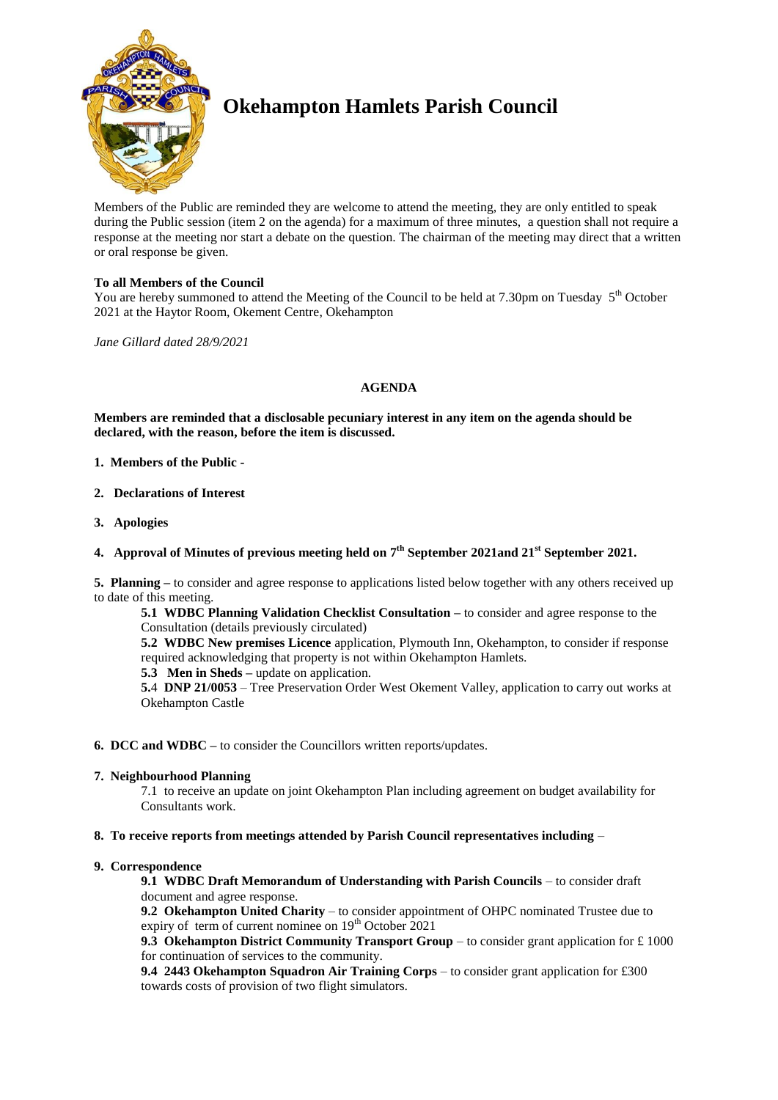

# **Okehampton Hamlets Parish Council**

Members of the Public are reminded they are welcome to attend the meeting, they are only entitled to speak during the Public session (item 2 on the agenda) for a maximum of three minutes, a question shall not require a response at the meeting nor start a debate on the question. The chairman of the meeting may direct that a written or oral response be given.

# **To all Members of the Council**

You are hereby summoned to attend the Meeting of the Council to be held at 7.30pm on Tuesday  $5<sup>th</sup>$  October 2021 at the Haytor Room, Okement Centre, Okehampton

*Jane Gillard dated 28/9/2021*

# **AGENDA**

**Members are reminded that a disclosable pecuniary interest in any item on the agenda should be declared, with the reason, before the item is discussed.** 

- **1. Members of the Public -**
- **2. Declarations of Interest**
- **3. Apologies**
- **4. Approval of Minutes of previous meeting held on 7 th September 2021and 21st September 2021.**

**5. Planning –** to consider and agree response to applications listed below together with any others received up to date of this meeting.

**5.1 WDBC Planning Validation Checklist Consultation –** to consider and agree response to the Consultation (details previously circulated)

**5.2 WDBC New premises Licence** application, Plymouth Inn, Okehampton, to consider if response required acknowledging that property is not within Okehampton Hamlets.

**5.3 Men in Sheds –** update on application.

**5.**4 **DNP 21/0053** – Tree Preservation Order West Okement Valley, application to carry out works at Okehampton Castle

**6. DCC and WDBC –** to consider the Councillors written reports/updates.

# **7. Neighbourhood Planning**

7.1 to receive an update on joint Okehampton Plan including agreement on budget availability for Consultants work.

# **8. To receive reports from meetings attended by Parish Council representatives including** –

# **9. Correspondence**

**9.1 WDBC Draft Memorandum of Understanding with Parish Councils** – to consider draft document and agree response.

**9.2 Okehampton United Charity** – to consider appointment of OHPC nominated Trustee due to expiry of term of current nominee on  $19<sup>th</sup>$  October 2021

**9.3 Okehampton District Community Transport Group** – to consider grant application for £ 1000 for continuation of services to the community.

**9.4 2443 Okehampton Squadron Air Training Corps** – to consider grant application for £300 towards costs of provision of two flight simulators.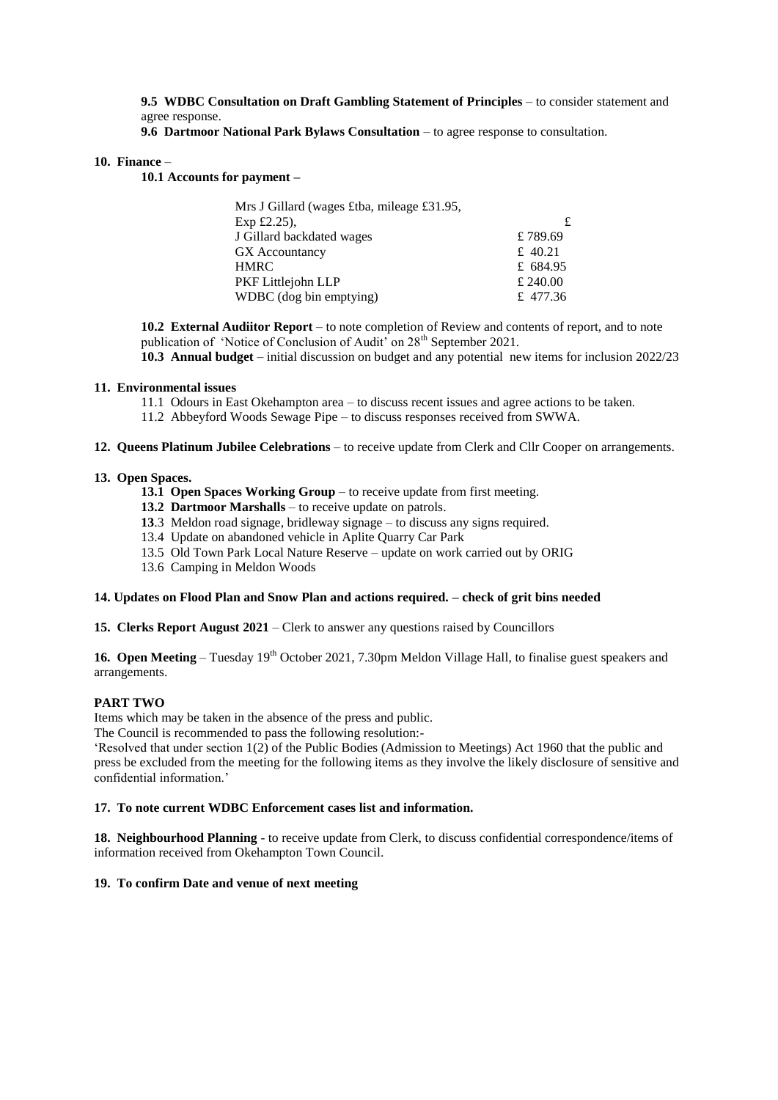**9.5 WDBC Consultation on Draft Gambling Statement of Principles** – to consider statement and agree response.

**9.6 Dartmoor National Park Bylaws Consultation** – to agree response to consultation.

#### **10. Finance** –

**10.1 Accounts for payment –**

| Mrs J Gillard (wages £tba, mileage £31.95, |          |
|--------------------------------------------|----------|
| Exp $£2.25$ ),                             |          |
| J Gillard backdated wages                  | £789.69  |
| GX Accountancy                             | £ 40.21  |
| <b>HMRC</b>                                | £ 684.95 |
| PKF Littlejohn LLP                         | £ 240.00 |
| WDBC (dog bin emptying)                    | £ 477.36 |

**10.2 External Audiitor Report** – to note completion of Review and contents of report, and to note publication of 'Notice of Conclusion of Audit' on 28<sup>th</sup> September 2021.

**10.3 Annual budget** – initial discussion on budget and any potential new items for inclusion 2022/23

# **11. Environmental issues**

- 11.1 Odours in East Okehampton area to discuss recent issues and agree actions to be taken.
- 11.2 Abbeyford Woods Sewage Pipe to discuss responses received from SWWA.

#### **12. Queens Platinum Jubilee Celebrations** – to receive update from Clerk and Cllr Cooper on arrangements.

# **13. Open Spaces.**

- **13.1 Open Spaces Working Group** to receive update from first meeting.
- **13.2 Dartmoor Marshalls** to receive update on patrols.
- **13**.3 Meldon road signage, bridleway signage to discuss any signs required.
- 13.4 Update on abandoned vehicle in Aplite Quarry Car Park
- 13.5 Old Town Park Local Nature Reserve update on work carried out by ORIG
- 13.6 Camping in Meldon Woods

# **14. Updates on Flood Plan and Snow Plan and actions required. – check of grit bins needed**

**15. Clerks Report August 2021** – Clerk to answer any questions raised by Councillors

**16. Open Meeting** – Tuesday 19<sup>th</sup> October 2021, 7.30pm Meldon Village Hall, to finalise guest speakers and arrangements.

# **PART TWO**

Items which may be taken in the absence of the press and public.

The Council is recommended to pass the following resolution:-

'Resolved that under section 1(2) of the Public Bodies (Admission to Meetings) Act 1960 that the public and press be excluded from the meeting for the following items as they involve the likely disclosure of sensitive and confidential information.'

# **17. To note current WDBC Enforcement cases list and information.**

**18. Neighbourhood Planning** - to receive update from Clerk, to discuss confidential correspondence/items of information received from Okehampton Town Council.

# **19. To confirm Date and venue of next meeting**